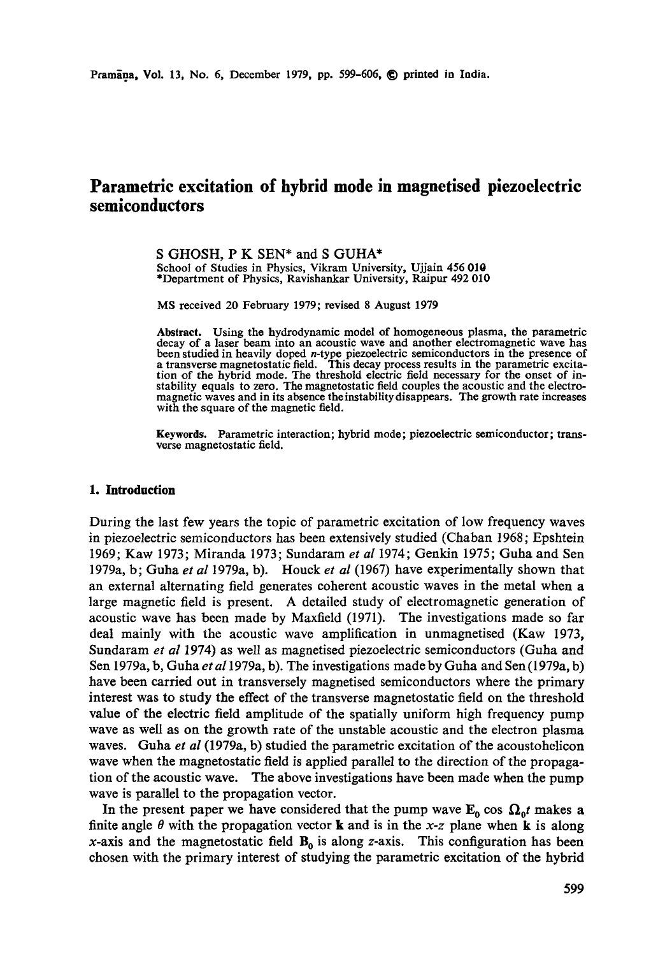# **Parametric excitation of hybrid mode in magnetised piezoelectric semiconductors**

S GHOSH, P K SEN\* and S GUHA\* School of Studies in Physics, Vikram University, Ujjain 456 010 \*Department of Physics, Ravishankar University, Raipur 492 010

MS received 20 February 1979; revised 8 August 1979

**Abstract.** Using the hydrodynamic model of homogeneous plasma, the parametric decay of a laser beam into an acoustic wave and another electromagnetic wave has been studied in heavily doped n-type piezoelectric semiconductors in the presence of a transverse magnetostatic field. This decay process results in the parametric excitation of the hybrid mode. The threshold electric field necessary for the onset of instability equals to zero. The magnetostatic field couples the acoustic and the electromagnetic waves and in its absence the instability disappears. The growth rate increases with the square of the magnetic field.

**Keywords.** Parametric interaction; hybrid mode; piezoelectric semiconductor; transverse magnetostatic field.

#### **1. Introduction**

During the last few years the topic of parametric excitation of low frequency waves in piezoelectric semiconductors has been extensively studied (Chaban 1968; Epshtein 1969; Kaw 1973; Miranda 1973; Sundaram *et al* 1974; Genkin 1975; Guha and Sen 1979a, b; Guha *et al* 1979a, b). Houck *et al* (1967) have experimentally shown that an external alternating field generates coherent acoustic waves in the metal when a large magnetic field is present. A detailed study of electromagnetic generation of acoustic wave has been made by Maxfield (1971). The investigations made so far deal mainly with the acoustic wave amplification in unmagnetised (Kaw 1973, Sundaram *et al* 1974) as well as magnetised piezoelectric semiconductors (Guha and Sen 1979a, b, Guha *et al* 1979a, b). The investigations made by Guha and Sen (1979a, b) have been carried out in transversely magnetised semiconductors where the primary interest was to study the effect of the transverse magnetostatic field on the threshold value of the electric field amplitude of the spatially uniform high frequency pump wave as well as on the growth rate of the unstable acoustic and the electron plasma waves. Guha *et al* (1979a, b) studied the parametric excitation of the acoustohelicon wave when the magnetostatic field is applied parallel to the direction of the propagation of the acoustic wave. The above investigations have been made when the pump wave is parallel to the propagation vector.

In the present paper we have considered that the pump wave  $E_0$  cos  $\Omega_0 t$  makes a finite angle  $\theta$  with the propagation vector **k** and is in the *x*-*z* plane when **k** is along x-axis and the magnetostatic field  $B_0$  is along z-axis. This configuration has been chosen with the primary interest of studying the parametric excitation of the hybrid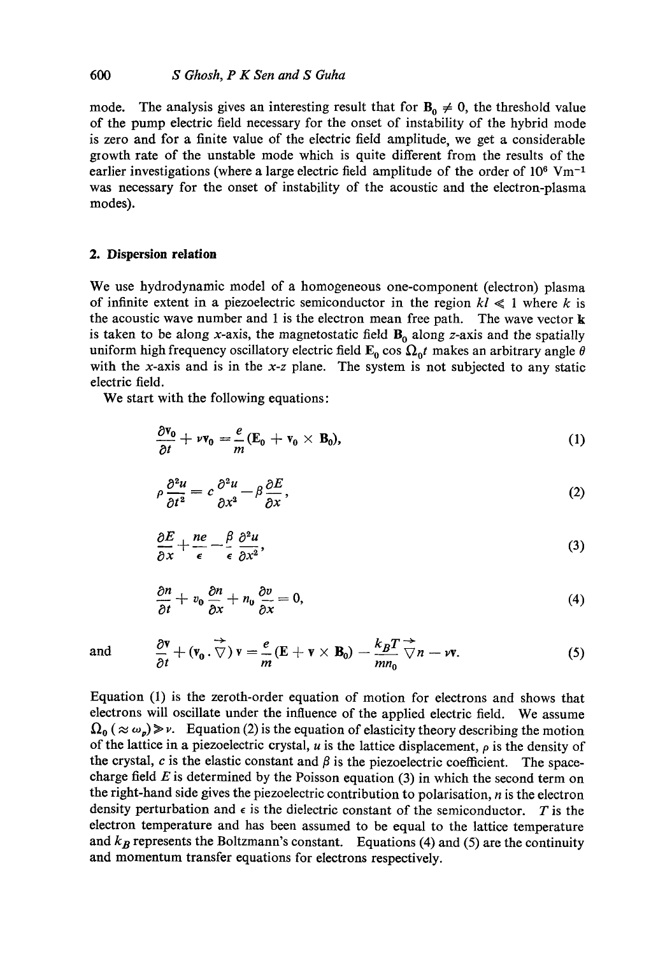mode. The analysis gives an interesting result that for  $B_0 \neq 0$ , the threshold value of the pump electric field necessary for the onset of instability of the hybrid mode is zero and for a finite value of the electric field amplitude, we get a considerable growth rate of the unstable mode which is quite different from the results of the earlier investigations (where a large electric field amplitude of the order of  $10^6$  Vm<sup>-1</sup> was necessary for the onset of instability of the acoustic and the electron-plasma modes).

#### **2. Dispersion relation**

We use hydrodynamic model of a homogeneous one-component (electron) plasma of infinite extent in a piezoelectric semiconductor in the region  $kl \leq 1$  where k is the acoustic wave number and 1 is the electron mean free path. The wave vector  $\bf{k}$ is taken to be along x-axis, the magnetostatic field  $B_0$  along z-axis and the spatially uniform high frequency oscillatory electric field  $\mathbf{E}_0$  cos  $\Omega_0 t$  makes an arbitrary angle  $\theta$ with the x-axis and is in the *x-z* plane. The system is not subjected to any static electric field.

We start with the following equations:

$$
\frac{\partial \mathbf{v_0}}{\partial t} + \nu \mathbf{v_0} = \frac{e}{m} (\mathbf{E_0} + \mathbf{v_0} \times \mathbf{B_0}), \qquad (1)
$$

$$
\rho \frac{\partial^2 u}{\partial t^2} = c \frac{\partial^2 u}{\partial x^2} - \beta \frac{\partial E}{\partial x},\tag{2}
$$

$$
\frac{\partial E}{\partial x} + \frac{ne}{\epsilon} - \frac{\beta}{\epsilon} \frac{\partial^2 u}{\partial x^2},\tag{3}
$$

$$
\frac{\partial n}{\partial t} + v_0 \frac{\partial n}{\partial x} + n_0 \frac{\partial v}{\partial x} = 0, \tag{4}
$$

and 
$$
\frac{\partial \mathbf{v}}{\partial t} + (\mathbf{v}_0 \cdot \nabla) \mathbf{v} = \frac{e}{m} (\mathbf{E} + \mathbf{v} \times \mathbf{B}_0) - \frac{k_B T}{m n_0} \nabla n - \nu \mathbf{v}.
$$
 (5)

Equation (1) is the zeroth-order equation of motion for electrons and shows that electrons will oscillate under the influence of the applied electric field. We assume  $\Omega_0$  (  $\approx \omega_p$ )  $\gg v$ . Equation (2) is the equation of elasticity theory describing the motion of the lattice in a piezoelectric crystal, u is the lattice displacement,  $\rho$  is the density of the crystal,  $c$  is the elastic constant and  $\beta$  is the piezoelectric coefficient. The spacecharge field  $E$  is determined by the Poisson equation (3) in which the second term on the right-hand side gives the piezoelectric contribution to polarisation,  $n$  is the electron density perturbation and  $\epsilon$  is the dielectric constant of the semiconductor. T is the electron temperature and has been assumed to be equal to the lattice temperature and  $k_B$  represents the Boltzmann's constant. Equations (4) and (5) are the continuity and momentum transfer equations for electrons respectively.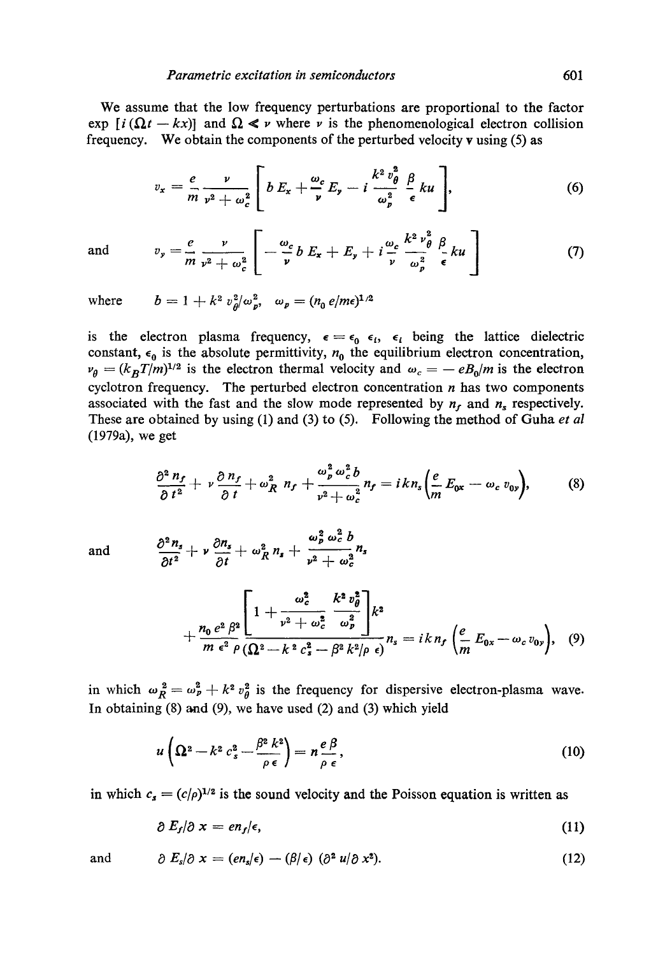We assume that the low frequency perturbations are proportional to the factor exp  $[i (\Omega t - kx)]$  and  $\Omega \leq v$  where v is the phenomenological electron collision frequency. We obtain the components of the perturbed velocity v using (5) as

$$
v_x = \frac{e}{m} \frac{\nu}{\nu^2 + \omega_c^2} \left[ b E_x + \frac{\omega_c}{\nu} E_y - i \frac{k^2 v_\theta^2}{\omega_p^2} \frac{\beta}{\epsilon} ku \right], \tag{6}
$$

and 
$$
v_y = \frac{e}{m} \frac{v}{v^2 + \omega_c^2} \left[ -\frac{\omega_c}{v} b E_x + E_y + i \frac{\omega_c}{v} \frac{k^2 v_\theta^2}{\omega_p^2} \frac{\beta}{\epsilon} ku \right]
$$
(7)

where  $b = 1 + k^2 v_\theta^2 / \omega_p^2$ ,  $\omega_p = (n_0 e / m\epsilon)^{1/2}$ 

is the electron plasma frequency,  $\epsilon = \epsilon_0 \epsilon_i$ ,  $\epsilon_i$  being the lattice dielectric constant,  $\epsilon_0$  is the absolute permittivity,  $n_0$  the equilibrium electron concentration,  $v_{\theta} = (k_B T/m)^{1/2}$  is the electron thermal velocity and  $\omega_c = -eB_0/m$  is the electron cyclotron frequency. The perturbed electron concentration  $n$  has two components associated with the fast and the slow mode represented by  $n_f$  and  $n_s$  respectively. These are obtained by using (1) and (3) to (5). Following the method of Guha *et al*  (1979a), we get

$$
\frac{\partial^2 n_f}{\partial t^2} + \nu \frac{\partial n_f}{\partial t} + \omega_R^2 n_f + \frac{\omega_p^2 \omega_c^2 b}{\nu^2 + \omega_c^2} n_f = i k n_s \bigg( \frac{e}{m} E_{0x} - \omega_c v_{0y} \bigg), \qquad (8)
$$

and 
$$
\frac{\partial^2 n_s}{\partial t^2} + \nu \frac{\partial n_s}{\partial t} + \omega_R^2 n_s + \frac{\omega_p^2 \omega_c^2 b}{\nu^2 + \omega_c^2} n_s
$$

$$
+\frac{n_0 e^2 \beta^2}{m \epsilon^2 \rho} \left[1+\frac{\omega_c^2}{\nu^2+\omega_c^2} \frac{k^2 v_\theta^2}{\omega_p^2}\right] k^2 +\frac{n_0 e^2 \beta^2}{m \epsilon^2 \rho} \left( \frac{2k^2}{\Omega^2-k^2 c_s^2-\beta^2 k^2/\rho \epsilon} \right)^2, \quad (9)
$$

in which  $\omega_R^2 = \omega_p^2 + k^2 v_q^2$  is the frequency for dispersive electron-plasma wave. In obtaining  $(8)$  and  $(9)$ , we have used  $(2)$  and  $(3)$  which yield

$$
u\left(\Omega^2 - k^2 c_s^2 - \frac{\beta^2 k^2}{\rho \epsilon}\right) = n \frac{e \beta}{\rho \epsilon},\tag{10}
$$

in which  $c_s = (c/\rho)^{1/2}$  is the sound velocity and the Poisson equation is written as

$$
\partial\,E_f/\partial\,x= en_f/\epsilon,\tag{11}
$$

and 
$$
\partial E_s/\partial x = (en_s/\epsilon) - (\beta/\epsilon) (\partial^2 u/\partial x^2).
$$
 (12)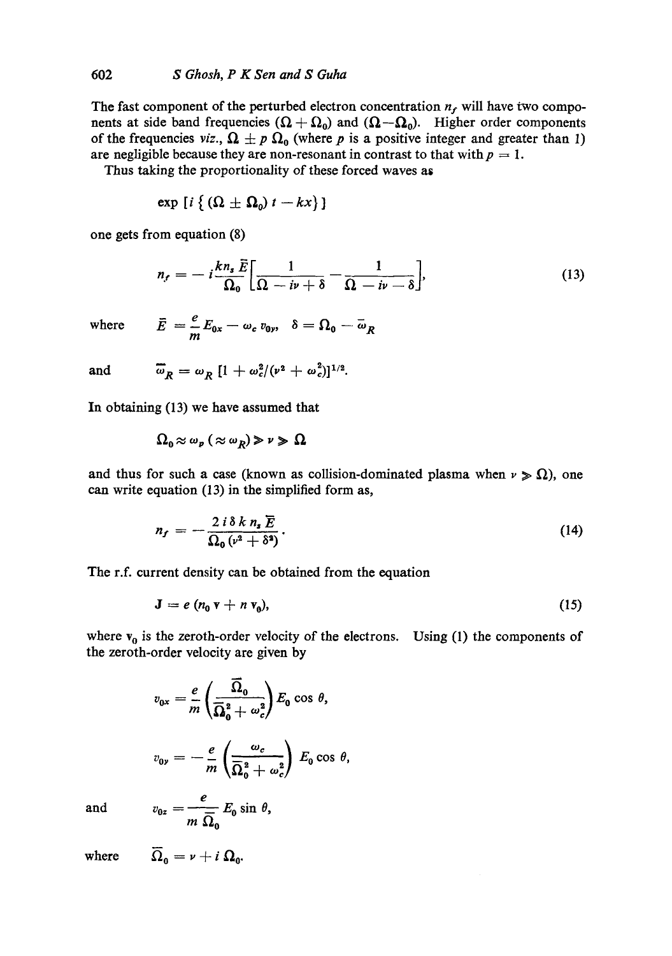The fast component of the perturbed electron concentration  $n_f$ , will have two components at side band frequencies  $(\Omega + \Omega_0)$  and  $(\Omega - \Omega_0)$ . Higher order components of the frequencies *viz.*,  $\Omega \pm p \Omega_0$  (where p is a positive integer and greater than 1) are negligible because they are non-resonant in contrast to that with  $p = 1$ .

Thus taking the proportionality of these forced waves as

$$
\exp [i \left\{ (\Omega \pm \Omega_0) t - kx \right\} ]
$$

one gets from equation (8)

$$
n_{r} = -i\frac{k n_{s} \tilde{E}}{\Omega_{0}} \bigg[ \frac{1}{\Omega - i\nu + \delta} - \frac{1}{\Omega - i\nu - \delta} \bigg], \tag{13}
$$

where 
$$
\vec{E} = \frac{e}{m} E_{0x} - \omega_c v_{0y}, \quad \delta = \Omega_0 - \overline{\omega}_R
$$

and 
$$
\overline{\omega}_R = \omega_R [1 + \omega_c^2/(\nu^2 + \omega_c^2)]^{1/2}.
$$

In obtaining (13) we have assumed that

$$
\Omega_{\scriptscriptstyle{0}} \! \approx \! \omega_{\scriptscriptstyle{\mathcal{P}}} \! \ ( \approx \! \omega_{\scriptscriptstyle{R}}) \! \gg \! \nu \gg \Omega
$$

and thus for such a case (known as collision-dominated plasma when  $\nu \geqslant \Omega$ ), one can write equation (13) in the simplified form as,

$$
n_f = -\frac{2 i \delta k n_s \overline{E}}{\Omega_0 (\nu^2 + \delta^2)}.
$$
 (14)

The r.f. current density can be obtained from the equation

$$
\mathbf{J} = e \left( n_0 \, \mathbf{v} + n \, \mathbf{v}_0 \right), \tag{15}
$$

where  $v_0$  is the zeroth-order velocity of the electrons. Using (1) the components of the zeroth-order velocity are given by

$$
v_{0x} = \frac{e}{m} \left( \frac{\overline{\Omega}_0}{\overline{\Omega}_0^2 + \omega_c^2} \right) E_0 \cos \theta,
$$
  

$$
v_{0y} = -\frac{e}{m} \left( \frac{\omega_c}{\overline{\Omega}_0^2 + \omega_c^2} \right) E_0 \cos \theta,
$$

and

$$
v_{0z} = \frac{e}{m \ \overline{\Omega}_0} E_0 \sin \theta,
$$

where  $\overline{\Omega}_0 = \nu + i \Omega_0$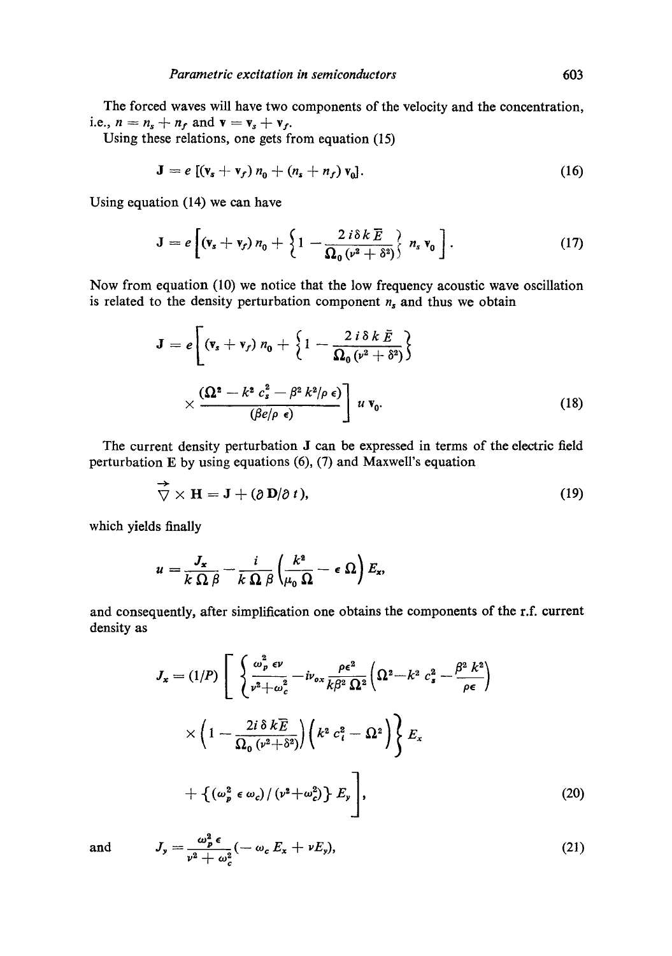The forced waves will have two components of the velocity and the concentration, i.e.,  $n = n_s + n_f$  and  $\mathbf{v} = \mathbf{v}_s + \mathbf{v}_f$ .

Using these relations, one gets from equation (15)

$$
\mathbf{J} = e \left[ (\mathbf{v}_s + \mathbf{v}_f) n_0 + (n_s + n_f) \mathbf{v}_0 \right]. \tag{16}
$$

Using equation (14) we can have

$$
\mathbf{J} = e \left[ \left( \mathbf{v}_s + \mathbf{v}_f \right) n_0 + \left\{ 1 - \frac{2 i \delta k \overline{E}}{\Omega_0 \left( v^2 + \delta^2 \right)} \right\} n_s \mathbf{v}_0 \right]. \tag{17}
$$

Now from equation (10) we notice that the low frequency acoustic wave oscillation is related to the density perturbation component  $n_s$  and thus we obtain

$$
\mathbf{J} = e \left[ \left( \mathbf{v}_s + \mathbf{v}_f \right) n_0 + \left\{ 1 - \frac{2 i \delta k \bar{E}}{\Omega_0 \left( v^2 + \delta^2 \right)} \right\} \times \frac{\left( \Omega^2 - k^2 c_s^2 - \beta^2 k^2 / \rho \epsilon \right)}{\left( \beta e / \rho \epsilon \right)} \right] u \, \mathbf{v}_0. \tag{18}
$$

The current density perturbation J can be expressed in terms of the electric field perturbation E by using equations (6), (7) and Maxwell's equation

$$
\overrightarrow{\nabla} \times \mathbf{H} = \mathbf{J} + (\partial \mathbf{D}/\partial t), \qquad (19)
$$

which yields finally

$$
u=\frac{J_{\mathbf{x}}}{k\,\Omega\,\beta}-\frac{i}{k\,\Omega\,\beta}\left(\frac{k^{\mathbf{a}}}{\mu_{0}\,\Omega}-\epsilon\,\Omega\right)E_{\mathbf{x}},
$$

and consequently, after simplification one obtains the components of the r.f. current density as

$$
J_x = (1/P) \left[ \begin{array}{l} \left( \frac{\omega_p^2 \epsilon \nu}{\nu^2 + \omega_c^2} - i \nu_{ox} \frac{\rho \epsilon^2}{k \beta^2 \Omega^2} \left( \Omega^2 - k^2 c_s^2 - \frac{\beta^2 k^2}{\rho \epsilon} \right) \right. \\ \left. \left. \times \left( 1 - \frac{2i \delta k \overline{E}}{\Omega_0 (\nu^2 + \delta^2)} \right) \left( k^2 c_i^2 - \Omega^2 \right) \right\} E_x \right. \\ \left. + \left\{ \left( \omega_p^2 \epsilon \omega_c \right) / \left( \nu^2 + \omega_c^2 \right) \right\} E_y \right], \end{array} \tag{20}
$$

and 
$$
J_{y} = \frac{\omega_{p}^{2} \epsilon}{v^{2} + \omega_{c}^{2}} (-\omega_{c} E_{x} + v E_{y}),
$$
 (21)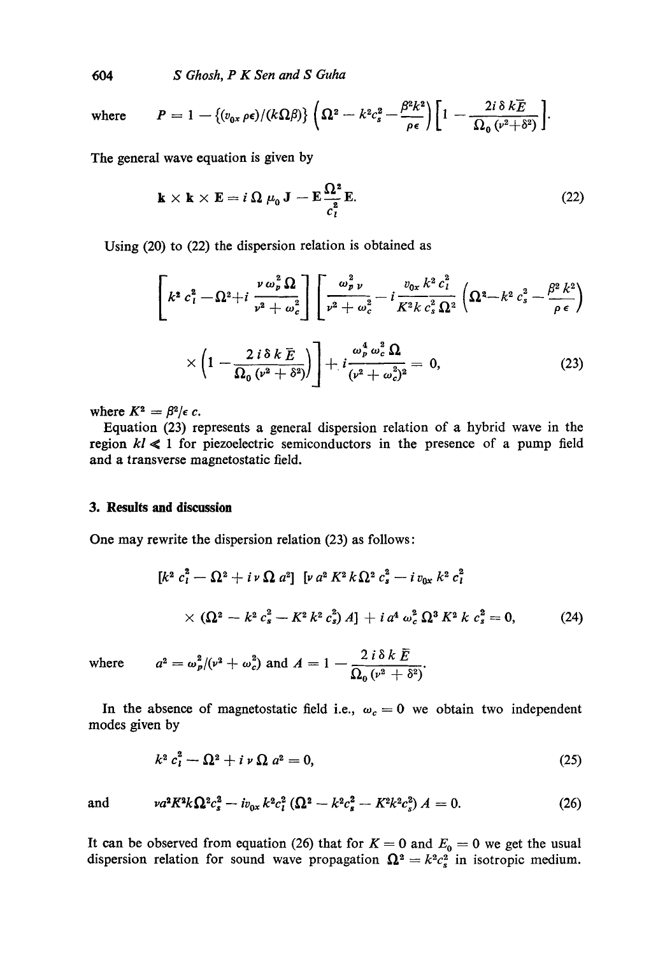*604 S Ghosh, P K Sen and S Guha* 

where 
$$
P = 1 - \{(v_{0x} \rho \epsilon)/(k\Omega \beta)\} \left(\Omega^2 - k^2 c_s^2 - \frac{\beta^2 k^2}{\rho \epsilon} \right) \left[1 - \frac{2i \delta k \overline{E}}{\Omega_0 (v^2 + \delta^2)}\right].
$$

The general wave equation is given by

$$
\mathbf{k} \times \mathbf{k} \times \mathbf{E} = i \, \Omega \, \mu_0 \, \mathbf{J} - \mathbf{E} \frac{\Omega^2}{c_i^2} \mathbf{E}.
$$
 (22)

Using (20) to (22) the dispersion relation is obtained as

$$
\left[k^2 c_l^2 - \Omega^2 + i \frac{\nu \omega_p^2 \Omega}{\nu^2 + \omega_c^2}\right] \left[\frac{\omega_p^2 \nu}{\nu^2 + \omega_c^2} - i \frac{\nu_{0x} k^2 c_l^2}{K^2 k c_s^2 \Omega^2} \left(\Omega^2 - k^2 c_s^2 - \frac{\beta^2 k^2}{\rho \epsilon}\right) \times \left(1 - \frac{2 i \delta k \overline{E}}{\Omega_0 (\nu^2 + \delta^2)}\right) + i \frac{\omega_p^4 \omega_c^2 \Omega}{(\nu^2 + \omega_c^2)^2} = 0,
$$
\n(23)

where  $K^2 = \beta^2/\epsilon$  c.

Equation (23) represents a general dispersion relation of a hybrid wave in the region  $kl \leq 1$  for piezoelectric semiconductors in the presence of a pump field and a transverse magnetostatic field.

## 3. Results and discussion

One may rewrite the dispersion relation (23) as follows:

$$
[k2 ci2 - \Omega2 + i v \Omega a2] [v a2 K2 k \Omega2 cs2 - i v0x k2 ci2
$$
  
× (\Omega<sup>2</sup> - k<sup>2</sup> c<sub>s</sub><sup>2</sup> - K<sup>2</sup> k<sup>2</sup> c<sub>s</sub><sup>2</sup>) A] + i a<sup>4</sup> \omega<sub>c</sub><sup>2</sup> \Omega<sup>3</sup> K<sup>2</sup> k c<sub>s</sub><sup>2</sup> = 0, (24)

where 
$$
a^2 = \omega_p^2/(\nu^2 + \omega_c^2) \text{ and } A = 1 - \frac{2 i \delta k E}{\Omega_0 (\nu^2 + \delta^2)}.
$$

In the absence of magnetostatic field i.e.,  $\omega_c = 0$  we obtain two independent modes given by

$$
k^2 c_l^2 - \Omega^2 + i \nu \Omega \, a^2 = 0,\tag{25}
$$

and 
$$
\nu a^2 K^2 k \Omega^2 c_s^2 - i v_{0x} k^2 c_l^2 (\Omega^2 - k^2 c_s^2 - K^2 k^2 c_s^2) A = 0.
$$
 (26)

It can be observed from equation (26) that for  $K = 0$  and  $E_0 = 0$  we get the usual dispersion relation for sound wave propagation  $\Omega^2 = k^2 c_s^2$  in isotropic medium.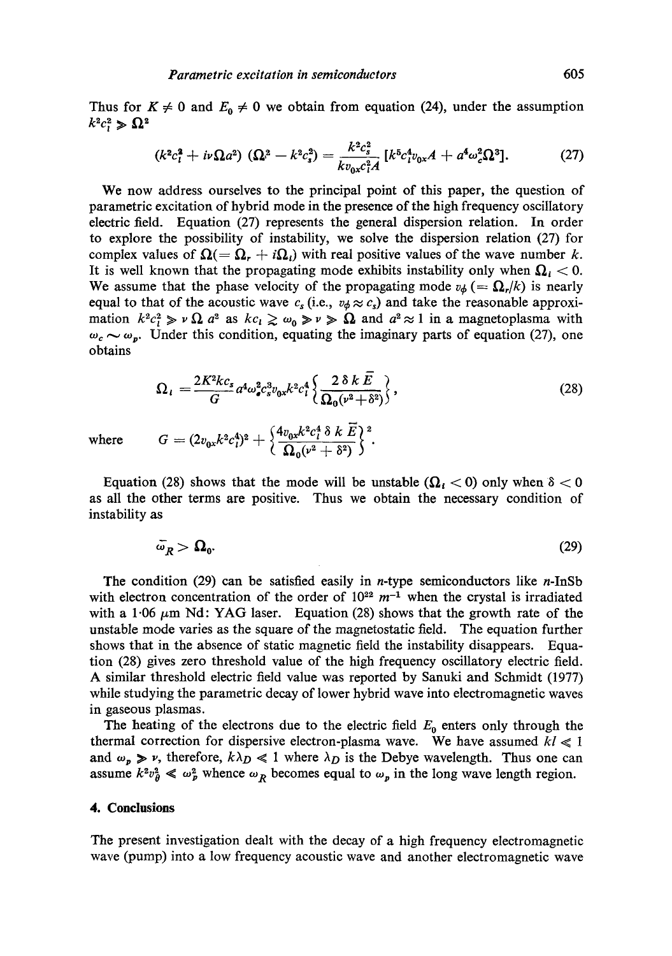Thus for  $K \neq 0$  and  $E_0 \neq 0$  we obtain from equation (24), under the assumption  $k^2c^2$   $\geqslant \Omega^2$ 

$$
(k^2c_l^2 + i\nu\Omega a^2) (\Omega^2 - k^2c_s^2) = \frac{k^2c_s^2}{kv_{0x}c_l^2A} [k^5c_l^4v_{0x}A + a^4\omega_c^2\Omega^3].
$$
 (27)

We now address ourselves to the principal point of this paper, the question of parametric excitation of hybrid mode in the presence of the high frequency oscillatory electric field. Equation (27) represents the general dispersion relation. In order to explore the possibility of instability, we solve the dispersion relation (27) for complex values of  $\Omega(-\Omega_r + i\Omega_i)$  with real positive values of the wave number k. It is well known that the propagating mode exhibits instability only when  $\Omega_i < 0$ . We assume that the phase velocity of the propagating mode  $v_{\phi} (= \Omega_r / k)$  is nearly equal to that of the acoustic wave  $c_s$  (i.e.,  $v_{\phi} \approx c_s$ ) and take the reasonable approximation  $k^2c_l^2 \gg v \Omega$  a<sup>2</sup> as  $kc_l \gtrsim \omega_0 \gg v \gg \Omega$  and  $a^2 \approx 1$  in a magnetoplasma with  $\omega_c \sim \omega_p$ . Under this condition, equating the imaginary parts of equation (27), one obtains

$$
\Omega_{i} = \frac{2K^{2}kc_{s}}{G}a^{4}\omega_{\bullet}^{2}c_{s}^{3}v_{0x}k^{2}c_{i}^{4}\left\{\frac{2\delta k\bar{E}}{\Omega_{0}(v^{2}+\delta^{2})}\right\},\tag{28}
$$

where

$$
G=(2v_{0x}k^2c_l^4)^2+\Big\{\frac{4v_{0x}k^2c_l^4\:\delta\:k\:\bar{E}}{\Omega_0(\nu^2+\delta^2)}\Big\}^2
$$

Equation (28) shows that the mode will be unstable  $(Q_t < 0)$  only when  $\delta < 0$ as all the other terms are positive. Thus we obtain the necessary condition of instability as

$$
\bar{\omega}_R > \Omega_0. \tag{29}
$$

The condition  $(29)$  can be satisfied easily in *n*-type semiconductors like *n*-InSb with electron concentration of the order of  $10^{22}$   $m^{-1}$  when the crystal is irradiated with a 1.06  $\mu$ m Nd: YAG laser. Equation (28) shows that the growth rate of the unstable mode varies as the square of the magnetostatie field. The equation further shows that in the absence of static magnetic field the instability disappears. Equation (28) gives zero threshold value of the high frequency oscillatory electric field. A similar threshold electric field value was reported by Sanuki and Schmidt (1977) while studying the parametric decay of lower hybrid wave into electromagnetic waves in gaseous plasmas.

The heating of the electrons due to the electric field  $E_0$  enters only through the thermal correction for dispersive electron-plasma wave. We have assumed  $kl \ll 1$ and  $\omega_p \gg \nu$ , therefore,  $k\lambda_D \ll 1$  where  $\lambda_D$  is the Debye wavelength. Thus one can assume  $k^2v_p^2 \ll \omega_p^2$  whence  $\omega_R$  becomes equal to  $\omega_p$  in the long wave length region.

## **4. Conclusions**

The present investigation dealt with the decay of a high frequency electromagnetic wave (pump) into a low frequency acoustic wave and another electromagnetic wave